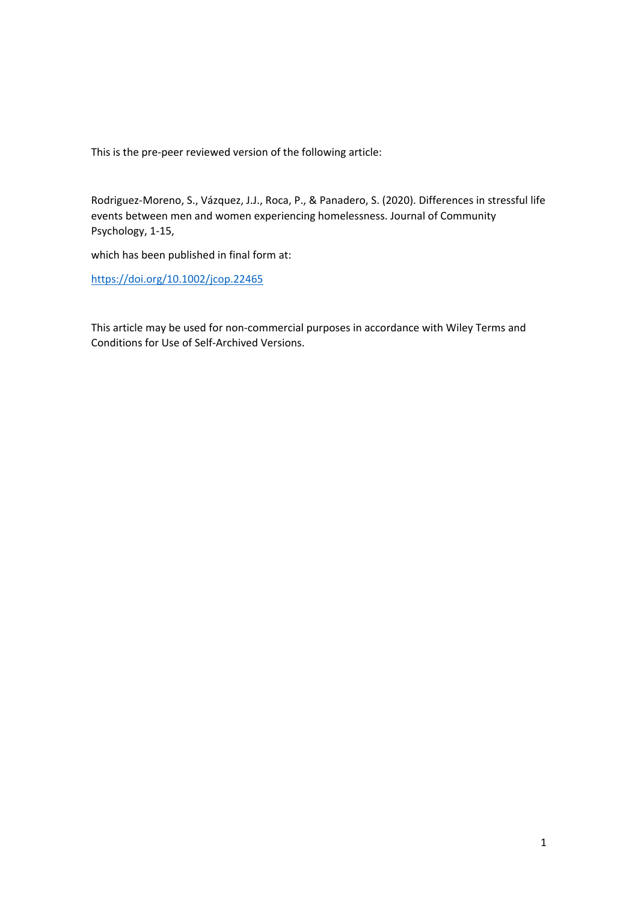This is the pre‐peer reviewed version of the following article:

Rodriguez‐Moreno, S., Vázquez, J.J., Roca, P., & Panadero, S. (2020). Differences in stressful life events between men and women experiencing homelessness. Journal of Community Psychology, 1‐15,

which has been published in final form at:

https://doi.org/10.1002/jcop.22465

This article may be used for non‐commercial purposes in accordance with Wiley Terms and Conditions for Use of Self‐Archived Versions.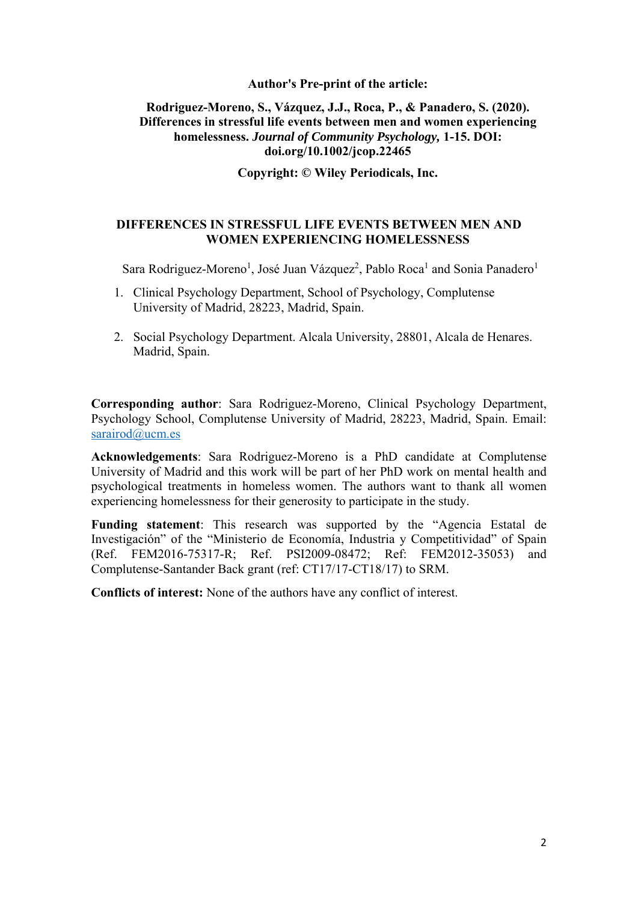## **Author's Pre-print of the article:**

# **Rodriguez-Moreno, S., Vázquez, J.J., Roca, P., & Panadero, S. (2020). Differences in stressful life events between men and women experiencing homelessness.** *Journal of Community Psychology,* **1-15. DOI: doi.org/10.1002/jcop.22465**

**Copyright: © Wiley Periodicals, Inc.** 

# **DIFFERENCES IN STRESSFUL LIFE EVENTS BETWEEN MEN AND WOMEN EXPERIENCING HOMELESSNESS**

Sara Rodriguez-Moreno<sup>1</sup>, José Juan Vázquez<sup>2</sup>, Pablo Roca<sup>1</sup> and Sonia Panadero<sup>1</sup>

- 1. Clinical Psychology Department, School of Psychology, Complutense University of Madrid, 28223, Madrid, Spain.
- 2. Social Psychology Department. Alcala University, 28801, Alcala de Henares. Madrid, Spain.

**Corresponding author**: Sara Rodriguez-Moreno, Clinical Psychology Department, Psychology School, Complutense University of Madrid, 28223, Madrid, Spain. Email: sarairod@ucm.es

**Acknowledgements**: Sara Rodriguez-Moreno is a PhD candidate at Complutense University of Madrid and this work will be part of her PhD work on mental health and psychological treatments in homeless women. The authors want to thank all women experiencing homelessness for their generosity to participate in the study.

**Funding statement**: This research was supported by the "Agencia Estatal de Investigación" of the "Ministerio de Economía, Industria y Competitividad" of Spain (Ref. FEM2016-75317-R; Ref. PSI2009-08472; Ref: FEM2012-35053) and Complutense-Santander Back grant (ref: CT17/17-CT18/17) to SRM.

**Conflicts of interest:** None of the authors have any conflict of interest.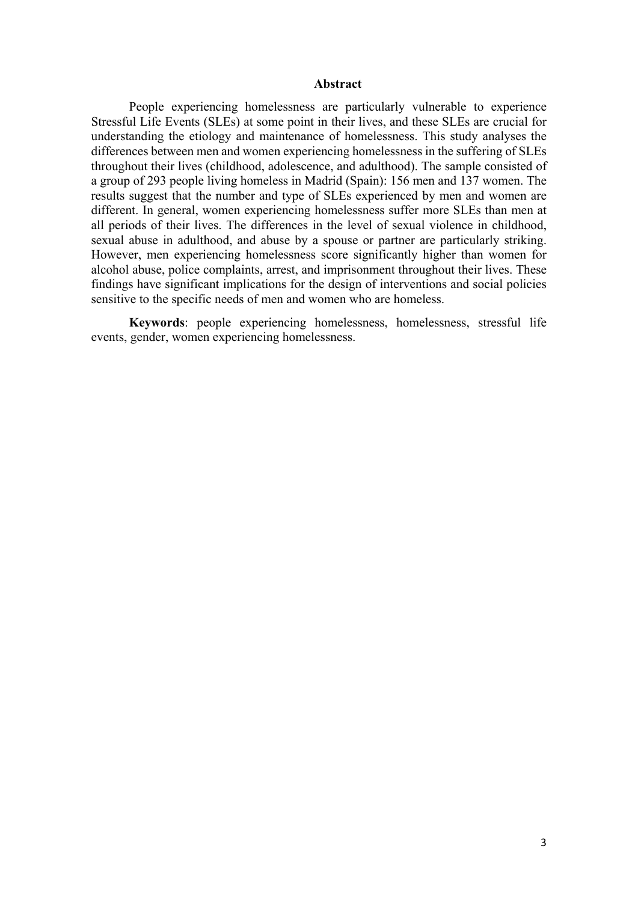#### **Abstract**

People experiencing homelessness are particularly vulnerable to experience Stressful Life Events (SLEs) at some point in their lives, and these SLEs are crucial for understanding the etiology and maintenance of homelessness. This study analyses the differences between men and women experiencing homelessness in the suffering of SLEs throughout their lives (childhood, adolescence, and adulthood). The sample consisted of a group of 293 people living homeless in Madrid (Spain): 156 men and 137 women. The results suggest that the number and type of SLEs experienced by men and women are different. In general, women experiencing homelessness suffer more SLEs than men at all periods of their lives. The differences in the level of sexual violence in childhood, sexual abuse in adulthood, and abuse by a spouse or partner are particularly striking. However, men experiencing homelessness score significantly higher than women for alcohol abuse, police complaints, arrest, and imprisonment throughout their lives. These findings have significant implications for the design of interventions and social policies sensitive to the specific needs of men and women who are homeless.

**Keywords**: people experiencing homelessness, homelessness, stressful life events, gender, women experiencing homelessness.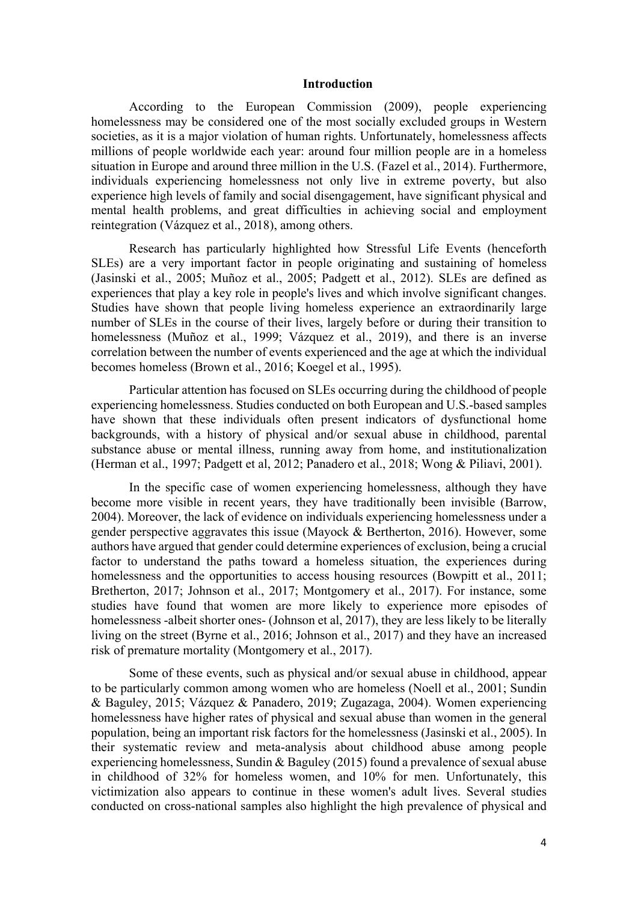### **Introduction**

According to the European Commission (2009), people experiencing homelessness may be considered one of the most socially excluded groups in Western societies, as it is a major violation of human rights. Unfortunately, homelessness affects millions of people worldwide each year: around four million people are in a homeless situation in Europe and around three million in the U.S. (Fazel et al., 2014). Furthermore, individuals experiencing homelessness not only live in extreme poverty, but also experience high levels of family and social disengagement, have significant physical and mental health problems, and great difficulties in achieving social and employment reintegration (Vázquez et al., 2018), among others.

Research has particularly highlighted how Stressful Life Events (henceforth SLEs) are a very important factor in people originating and sustaining of homeless (Jasinski et al., 2005; Muñoz et al., 2005; Padgett et al., 2012). SLEs are defined as experiences that play a key role in people's lives and which involve significant changes. Studies have shown that people living homeless experience an extraordinarily large number of SLEs in the course of their lives, largely before or during their transition to homelessness (Muñoz et al., 1999; Vázquez et al., 2019), and there is an inverse correlation between the number of events experienced and the age at which the individual becomes homeless (Brown et al., 2016; Koegel et al., 1995).

Particular attention has focused on SLEs occurring during the childhood of people experiencing homelessness. Studies conducted on both European and U.S.-based samples have shown that these individuals often present indicators of dysfunctional home backgrounds, with a history of physical and/or sexual abuse in childhood, parental substance abuse or mental illness, running away from home, and institutionalization (Herman et al., 1997; Padgett et al, 2012; Panadero et al., 2018; Wong & Piliavi, 2001).

In the specific case of women experiencing homelessness, although they have become more visible in recent years, they have traditionally been invisible (Barrow, 2004). Moreover, the lack of evidence on individuals experiencing homelessness under a gender perspective aggravates this issue (Mayock & Bertherton, 2016). However, some authors have argued that gender could determine experiences of exclusion, being a crucial factor to understand the paths toward a homeless situation, the experiences during homelessness and the opportunities to access housing resources (Bowpitt et al., 2011; Bretherton, 2017; Johnson et al., 2017; Montgomery et al., 2017). For instance, some studies have found that women are more likely to experience more episodes of homelessness -albeit shorter ones- (Johnson et al, 2017), they are less likely to be literally living on the street (Byrne et al., 2016; Johnson et al., 2017) and they have an increased risk of premature mortality (Montgomery et al., 2017).

Some of these events, such as physical and/or sexual abuse in childhood, appear to be particularly common among women who are homeless (Noell et al., 2001; Sundin & Baguley, 2015; Vázquez & Panadero, 2019; Zugazaga, 2004). Women experiencing homelessness have higher rates of physical and sexual abuse than women in the general population, being an important risk factors for the homelessness (Jasinski et al., 2005). In their systematic review and meta-analysis about childhood abuse among people experiencing homelessness, Sundin & Baguley (2015) found a prevalence of sexual abuse in childhood of 32% for homeless women, and 10% for men. Unfortunately, this victimization also appears to continue in these women's adult lives. Several studies conducted on cross-national samples also highlight the high prevalence of physical and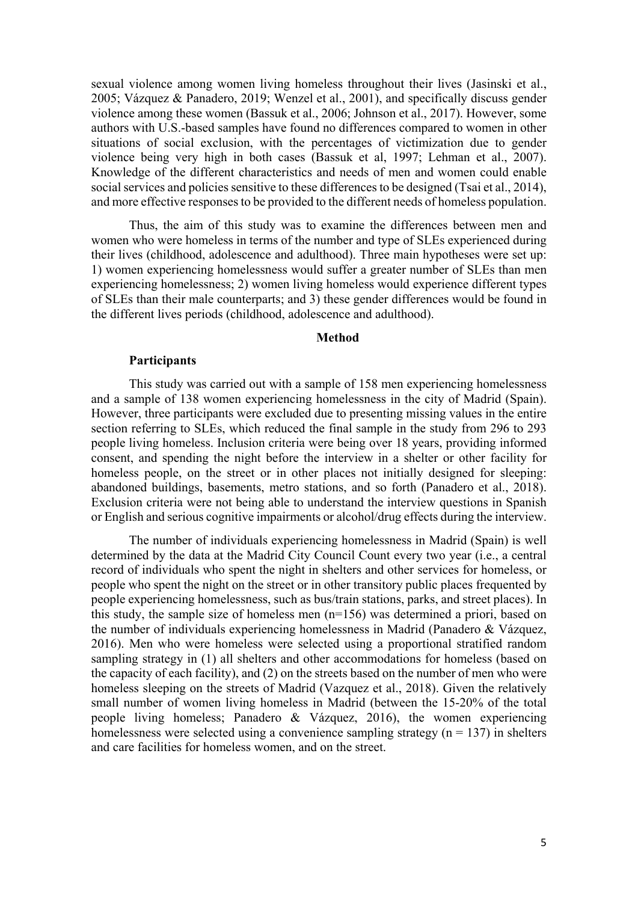sexual violence among women living homeless throughout their lives (Jasinski et al., 2005; Vázquez & Panadero, 2019; Wenzel et al., 2001), and specifically discuss gender violence among these women (Bassuk et al., 2006; Johnson et al., 2017). However, some authors with U.S.-based samples have found no differences compared to women in other situations of social exclusion, with the percentages of victimization due to gender violence being very high in both cases (Bassuk et al, 1997; Lehman et al., 2007). Knowledge of the different characteristics and needs of men and women could enable social services and policies sensitive to these differences to be designed (Tsai et al., 2014), and more effective responses to be provided to the different needs of homeless population.

Thus, the aim of this study was to examine the differences between men and women who were homeless in terms of the number and type of SLEs experienced during their lives (childhood, adolescence and adulthood). Three main hypotheses were set up: 1) women experiencing homelessness would suffer a greater number of SLEs than men experiencing homelessness; 2) women living homeless would experience different types of SLEs than their male counterparts; and 3) these gender differences would be found in the different lives periods (childhood, adolescence and adulthood).

### **Method**

### **Participants**

This study was carried out with a sample of 158 men experiencing homelessness and a sample of 138 women experiencing homelessness in the city of Madrid (Spain). However, three participants were excluded due to presenting missing values in the entire section referring to SLEs, which reduced the final sample in the study from 296 to 293 people living homeless. Inclusion criteria were being over 18 years, providing informed consent, and spending the night before the interview in a shelter or other facility for homeless people, on the street or in other places not initially designed for sleeping: abandoned buildings, basements, metro stations, and so forth (Panadero et al., 2018). Exclusion criteria were not being able to understand the interview questions in Spanish or English and serious cognitive impairments or alcohol/drug effects during the interview.

The number of individuals experiencing homelessness in Madrid (Spain) is well determined by the data at the Madrid City Council Count every two year (i.e., a central record of individuals who spent the night in shelters and other services for homeless, or people who spent the night on the street or in other transitory public places frequented by people experiencing homelessness, such as bus/train stations, parks, and street places). In this study, the sample size of homeless men (n=156) was determined a priori, based on the number of individuals experiencing homelessness in Madrid (Panadero & Vázquez, 2016). Men who were homeless were selected using a proportional stratified random sampling strategy in (1) all shelters and other accommodations for homeless (based on the capacity of each facility), and (2) on the streets based on the number of men who were homeless sleeping on the streets of Madrid (Vazquez et al., 2018). Given the relatively small number of women living homeless in Madrid (between the 15-20% of the total people living homeless; Panadero & Vázquez, 2016), the women experiencing homelessness were selected using a convenience sampling strategy ( $n = 137$ ) in shelters and care facilities for homeless women, and on the street.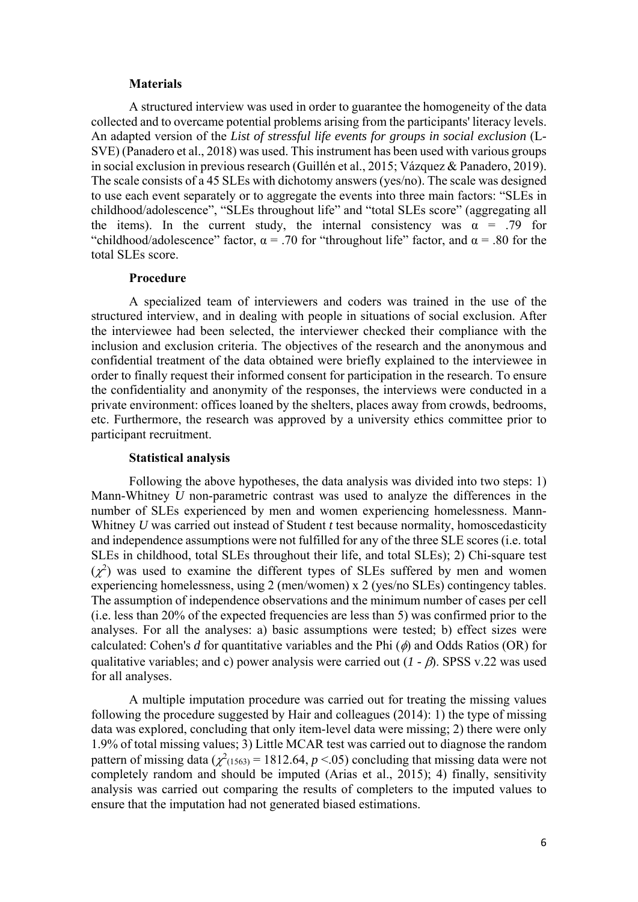#### **Materials**

A structured interview was used in order to guarantee the homogeneity of the data collected and to overcame potential problems arising from the participants' literacy levels. An adapted version of the *List of stressful life events for groups in social exclusion* (L-SVE) (Panadero et al., 2018) was used. This instrument has been used with various groups in social exclusion in previous research (Guillén et al., 2015; Vázquez & Panadero, 2019). The scale consists of a 45 SLEs with dichotomy answers (yes/no). The scale was designed to use each event separately or to aggregate the events into three main factors: "SLEs in childhood/adolescence", "SLEs throughout life" and "total SLEs score" (aggregating all the items). In the current study, the internal consistency was  $\alpha = .79$  for "childhood/adolescence" factor,  $\alpha = .70$  for "throughout life" factor, and  $\alpha = .80$  for the total SLEs score.

### **Procedure**

A specialized team of interviewers and coders was trained in the use of the structured interview, and in dealing with people in situations of social exclusion. After the interviewee had been selected, the interviewer checked their compliance with the inclusion and exclusion criteria. The objectives of the research and the anonymous and confidential treatment of the data obtained were briefly explained to the interviewee in order to finally request their informed consent for participation in the research. To ensure the confidentiality and anonymity of the responses, the interviews were conducted in a private environment: offices loaned by the shelters, places away from crowds, bedrooms, etc. Furthermore, the research was approved by a university ethics committee prior to participant recruitment.

### **Statistical analysis**

Following the above hypotheses, the data analysis was divided into two steps: 1) Mann-Whitney *U* non-parametric contrast was used to analyze the differences in the number of SLEs experienced by men and women experiencing homelessness. Mann-Whitney *U* was carried out instead of Student *t* test because normality, homoscedasticity and independence assumptions were not fulfilled for any of the three SLE scores (i.e. total SLEs in childhood, total SLEs throughout their life, and total SLEs); 2) Chi-square test  $(\chi^2)$  was used to examine the different types of SLEs suffered by men and women experiencing homelessness, using 2 (men/women) x 2 (yes/no SLEs) contingency tables. The assumption of independence observations and the minimum number of cases per cell (i.e. less than 20% of the expected frequencies are less than 5) was confirmed prior to the analyses. For all the analyses: a) basic assumptions were tested; b) effect sizes were calculated: Cohen's *d* for quantitative variables and the Phi  $(\phi)$  and Odds Ratios (OR) for qualitative variables; and c) power analysis were carried out  $(I - \beta)$ . SPSS v.22 was used for all analyses.

A multiple imputation procedure was carried out for treating the missing values following the procedure suggested by Hair and colleagues (2014): 1) the type of missing data was explored, concluding that only item-level data were missing; 2) there were only 1.9% of total missing values; 3) Little MCAR test was carried out to diagnose the random pattern of missing data  $(\chi^2(1563) = 1812.64, p < 0.05)$  concluding that missing data were not completely random and should be imputed (Arias et al., 2015); 4) finally, sensitivity analysis was carried out comparing the results of completers to the imputed values to ensure that the imputation had not generated biased estimations.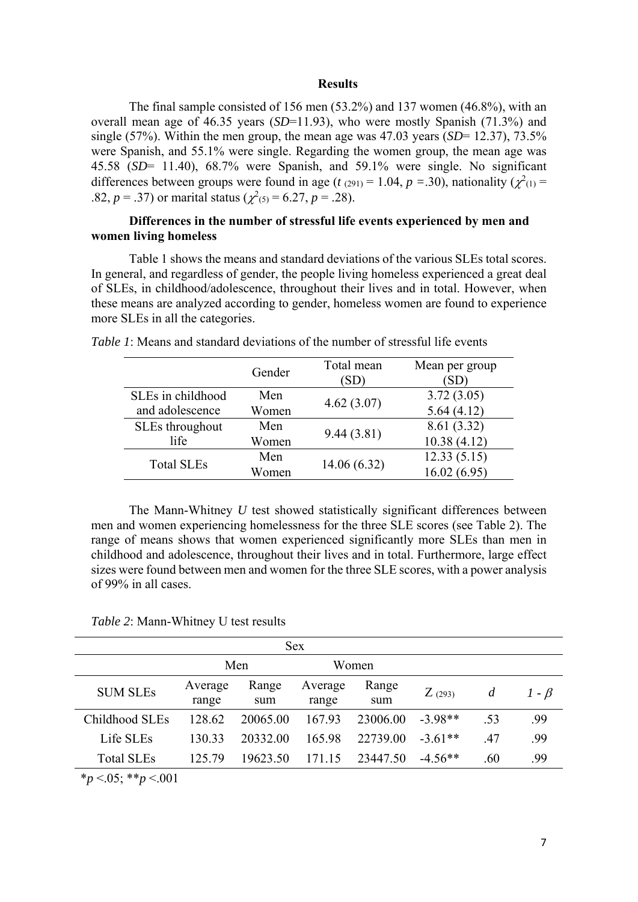#### **Results**

The final sample consisted of 156 men (53.2%) and 137 women (46.8%), with an overall mean age of 46.35 years (*SD*=11.93), who were mostly Spanish (71.3%) and single (57%). Within the men group, the mean age was  $47.03$  years (*SD*= 12.37), 73.5% were Spanish, and 55.1% were single. Regarding the women group, the mean age was 45.58 (*SD*= 11.40), 68.7% were Spanish, and 59.1% were single. No significant differences between groups were found in age ( $t_{(291)} = 1.04$ ,  $p = .30$ ), nationality ( $\chi^2_{(1)} =$ .82,  $p = .37$ ) or marital status ( $\chi^2(s) = 6.27$ ,  $p = .28$ ).

# **Differences in the number of stressful life events experienced by men and women living homeless**

Table 1 shows the means and standard deviations of the various SLEs total scores. In general, and regardless of gender, the people living homeless experienced a great deal of SLEs, in childhood/adolescence, throughout their lives and in total. However, when these means are analyzed according to gender, homeless women are found to experience more SLEs in all the categories.

|                   | Gender | Total mean<br>(SD) | Mean per group<br>[SD] |
|-------------------|--------|--------------------|------------------------|
| SLEs in childhood | Men    | 4.62(3.07)         | 3.72(3.05)             |
| and adolescence   | Women  |                    | 5.64(4.12)             |
| SLEs throughout   | Men    | 9.44(3.81)         | 8.61 (3.32)            |
| life              | Women  |                    | 10.38(4.12)            |
| <b>Total SLEs</b> | Men    | 14.06(6.32)        | 12.33(5.15)            |
|                   | Women  |                    | 16.02(6.95)            |

*Table 1*: Means and standard deviations of the number of stressful life events

The Mann-Whitney *U* test showed statistically significant differences between men and women experiencing homelessness for the three SLE scores (see Table 2). The range of means shows that women experienced significantly more SLEs than men in childhood and adolescence, throughout their lives and in total. Furthermore, large effect sizes were found between men and women for the three SLE scores, with a power analysis of 99% in all cases.

*Table 2*: Mann-Whitney U test results

| <b>Sex</b>                                                         |                  |              |                  |              |           |     |             |
|--------------------------------------------------------------------|------------------|--------------|------------------|--------------|-----------|-----|-------------|
|                                                                    | Men              |              | Women            |              |           |     |             |
| <b>SUM SLEs</b>                                                    | Average<br>range | Range<br>sum | Average<br>range | Range<br>sum | Z(293)    | d   | $1 - \beta$ |
| Childhood SLEs                                                     | 128.62           | 20065.00     | 167.93           | 23006.00     | $-3.98**$ | .53 | .99         |
| Life SLEs                                                          | 130.33           | 20332.00     | 165.98           | 22739.00     | $-3.61**$ | .47 | .99         |
| <b>Total SLEs</b>                                                  | 125.79           | 19623.50     | 171.15           | 23447.50     | $-4.56**$ | .60 | .99         |
| $\sim$ $\sim$ $\sim$ $\sim$ $\sim$ $\sim$<br>ale in<br>$\sim$ 0.01 |                  |              |                  |              |           |     |             |

\**p* <.05; \*\**p* <.001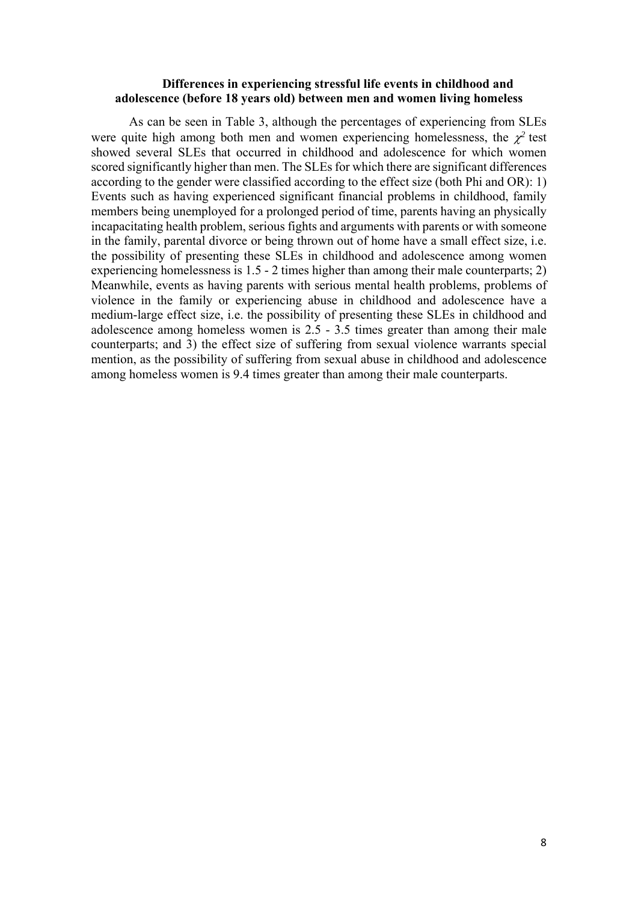## **Differences in experiencing stressful life events in childhood and adolescence (before 18 years old) between men and women living homeless**

As can be seen in Table 3, although the percentages of experiencing from SLEs were quite high among both men and women experiencing homelessness, the  $\chi^2$  test showed several SLEs that occurred in childhood and adolescence for which women scored significantly higher than men. The SLEs for which there are significant differences according to the gender were classified according to the effect size (both Phi and OR): 1) Events such as having experienced significant financial problems in childhood, family members being unemployed for a prolonged period of time, parents having an physically incapacitating health problem, serious fights and arguments with parents or with someone in the family, parental divorce or being thrown out of home have a small effect size, i.e. the possibility of presenting these SLEs in childhood and adolescence among women experiencing homelessness is 1.5 - 2 times higher than among their male counterparts; 2) Meanwhile, events as having parents with serious mental health problems, problems of violence in the family or experiencing abuse in childhood and adolescence have a medium-large effect size, i.e. the possibility of presenting these SLEs in childhood and adolescence among homeless women is 2.5 - 3.5 times greater than among their male counterparts; and 3) the effect size of suffering from sexual violence warrants special mention, as the possibility of suffering from sexual abuse in childhood and adolescence among homeless women is 9.4 times greater than among their male counterparts.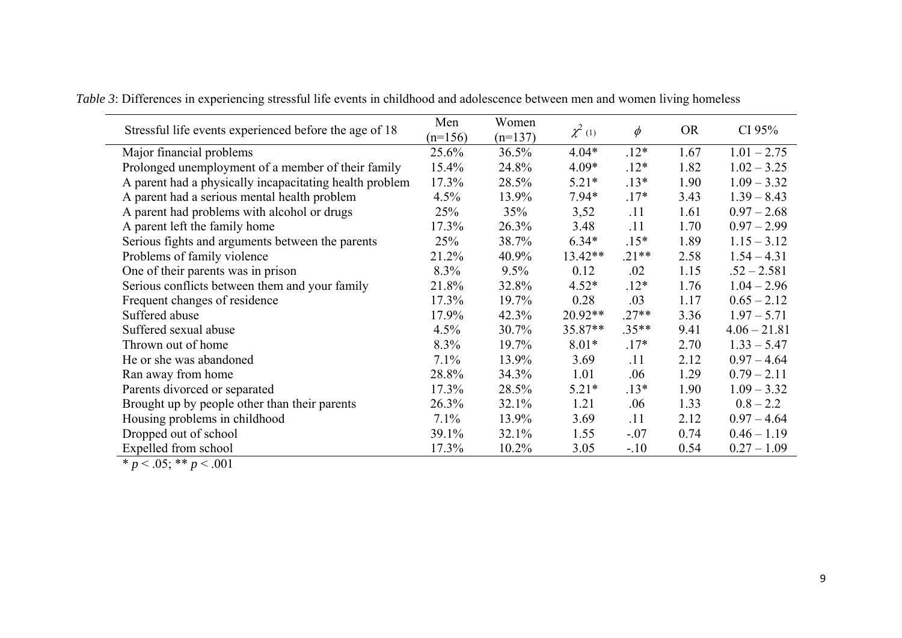| Stressful life events experienced before the age of 18  | Men       | Women     | $\chi^2$ (1) | $\phi$  | <b>OR</b> | CI $95\%$      |
|---------------------------------------------------------|-----------|-----------|--------------|---------|-----------|----------------|
|                                                         | $(n=156)$ | $(n=137)$ |              |         |           |                |
| Major financial problems                                | 25.6%     | 36.5%     | $4.04*$      | $.12*$  | 1.67      | $1.01 - 2.75$  |
| Prolonged unemployment of a member of their family      | 15.4%     | 24.8%     | $4.09*$      | $.12*$  | 1.82      | $1.02 - 3.25$  |
| A parent had a physically incapacitating health problem | 17.3%     | 28.5%     | $5.21*$      | $.13*$  | 1.90      | $1.09 - 3.32$  |
| A parent had a serious mental health problem            | 4.5%      | 13.9%     | $7.94*$      | $.17*$  | 3.43      | $1.39 - 8.43$  |
| A parent had problems with alcohol or drugs             | 25%       | 35%       | 3,52         | .11     | 1.61      | $0.97 - 2.68$  |
| A parent left the family home                           | 17.3%     | 26.3%     | 3.48         | .11     | 1.70      | $0.97 - 2.99$  |
| Serious fights and arguments between the parents        | 25%       | 38.7%     | $6.34*$      | $.15*$  | 1.89      | $1.15 - 3.12$  |
| Problems of family violence                             | 21.2%     | 40.9%     | 13.42**      | $.21**$ | 2.58      | $1.54 - 4.31$  |
| One of their parents was in prison                      | 8.3%      | 9.5%      | 0.12         | .02     | 1.15      | $.52 - 2.581$  |
| Serious conflicts between them and your family          | 21.8%     | 32.8%     | $4.52*$      | $.12*$  | 1.76      | $1.04 - 2.96$  |
| Frequent changes of residence                           | 17.3%     | 19.7%     | 0.28         | .03     | 1.17      | $0.65 - 2.12$  |
| Suffered abuse                                          | 17.9%     | 42.3%     | 20.92**      | $.27**$ | 3.36      | $1.97 - 5.71$  |
| Suffered sexual abuse                                   | 4.5%      | 30.7%     | $35.87**$    | $.35**$ | 9.41      | $4.06 - 21.81$ |
| Thrown out of home                                      | 8.3%      | 19.7%     | $8.01*$      | $.17*$  | 2.70      | $1.33 - 5.47$  |
| He or she was abandoned                                 | 7.1%      | 13.9%     | 3.69         | .11     | 2.12      | $0.97 - 4.64$  |
| Ran away from home                                      | 28.8%     | 34.3%     | 1.01         | .06     | 1.29      | $0.79 - 2.11$  |
| Parents divorced or separated                           | 17.3%     | 28.5%     | $5.21*$      | $.13*$  | 1.90      | $1.09 - 3.32$  |
| Brought up by people other than their parents           | 26.3%     | 32.1%     | 1.21         | .06     | 1.33      | $0.8 - 2.2$    |
| Housing problems in childhood                           | 7.1%      | 13.9%     | 3.69         | .11     | 2.12      | $0.97 - 4.64$  |
| Dropped out of school                                   | 39.1%     | 32.1%     | 1.55         | $-.07$  | 0.74      | $0.46 - 1.19$  |
| Expelled from school                                    | 17.3%     | $10.2\%$  | 3.05         | $-.10$  | 0.54      | $0.27 - 1.09$  |

*Table 3*: Differences in experiencing stressful life events in childhood and adolescence between men and women living homeless

 $\overline{\ast p}$  < .05;  $\overline{\ast p}$  < .001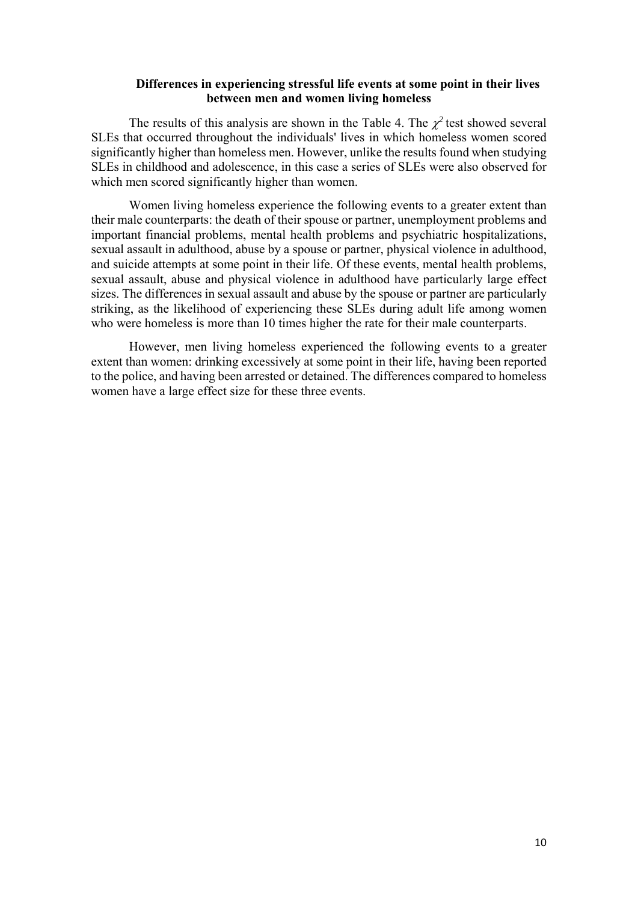## **Differences in experiencing stressful life events at some point in their lives between men and women living homeless**

The results of this analysis are shown in the Table 4. The  $\chi^2$  test showed several SLEs that occurred throughout the individuals' lives in which homeless women scored significantly higher than homeless men. However, unlike the results found when studying SLEs in childhood and adolescence, in this case a series of SLEs were also observed for which men scored significantly higher than women.

Women living homeless experience the following events to a greater extent than their male counterparts: the death of their spouse or partner, unemployment problems and important financial problems, mental health problems and psychiatric hospitalizations, sexual assault in adulthood, abuse by a spouse or partner, physical violence in adulthood, and suicide attempts at some point in their life. Of these events, mental health problems, sexual assault, abuse and physical violence in adulthood have particularly large effect sizes. The differences in sexual assault and abuse by the spouse or partner are particularly striking, as the likelihood of experiencing these SLEs during adult life among women who were homeless is more than 10 times higher the rate for their male counterparts.

However, men living homeless experienced the following events to a greater extent than women: drinking excessively at some point in their life, having been reported to the police, and having been arrested or detained. The differences compared to homeless women have a large effect size for these three events.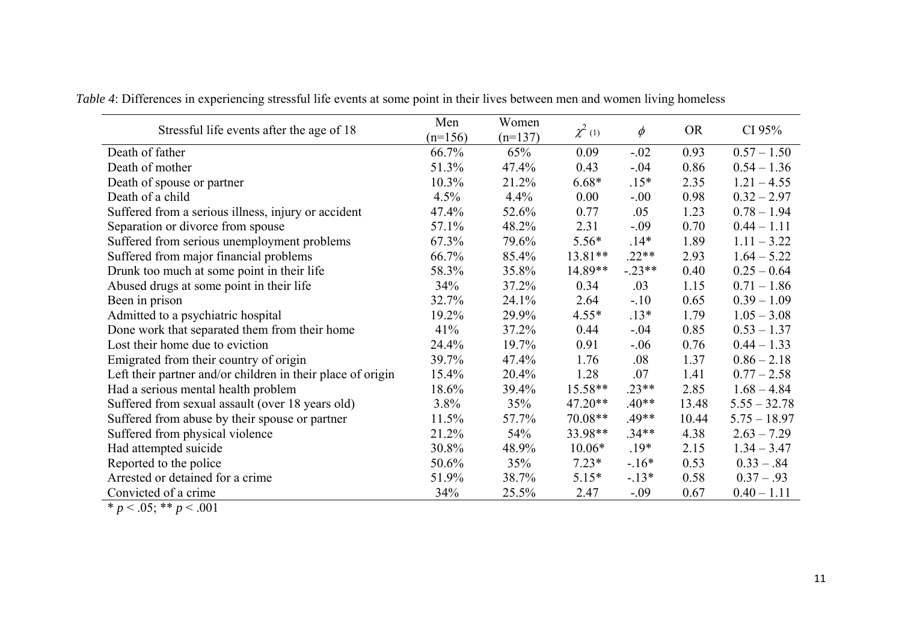| Stressful life events after the age of 18                   | Men<br>$(n=156)$ | Women<br>$(n=137)$ | $\chi^2$ (1) | $\phi$   | <b>OR</b> | CI $95%$       |
|-------------------------------------------------------------|------------------|--------------------|--------------|----------|-----------|----------------|
| Death of father                                             | 66.7%            | 65%                | 0.09         | $-.02$   | 0.93      | $0.57 - 1.50$  |
| Death of mother                                             | 51.3%            | 47.4%              | 0.43         | $-.04$   | 0.86      | $0.54 - 1.36$  |
| Death of spouse or partner                                  | 10.3%            | 21.2%              | $6.68*$      | $.15*$   | 2.35      | $1.21 - 4.55$  |
| Death of a child                                            | 4.5%             | $4.4\%$            | 0.00         | $-.00$   | 0.98      | $0.32 - 2.97$  |
| Suffered from a serious illness, injury or accident         | 47.4%            | 52.6%              | 0.77         | .05      | 1.23      | $0.78 - 1.94$  |
| Separation or divorce from spouse                           | 57.1%            | 48.2%              | 2.31         | $-.09$   | 0.70      | $0.44 - 1.11$  |
| Suffered from serious unemployment problems                 | 67.3%            | 79.6%              | $5.56*$      | $.14*$   | 1.89      | $1.11 - 3.22$  |
| Suffered from major financial problems                      | 66.7%            | 85.4%              | $13.81**$    | $.22**$  | 2.93      | $1.64 - 5.22$  |
| Drunk too much at some point in their life                  | 58.3%            | 35.8%              | 14.89**      | $-.23**$ | 0.40      | $0.25 - 0.64$  |
| Abused drugs at some point in their life                    | 34%              | 37.2%              | 0.34         | .03      | 1.15      | $0.71 - 1.86$  |
| Been in prison                                              | 32.7%            | 24.1%              | 2.64         | $-.10$   | 0.65      | $0.39 - 1.09$  |
| Admitted to a psychiatric hospital                          | 19.2%            | 29.9%              | $4.55*$      | $.13*$   | 1.79      | $1.05 - 3.08$  |
| Done work that separated them from their home               | 41%              | 37.2%              | 0.44         | $-.04$   | 0.85      | $0.53 - 1.37$  |
| Lost their home due to eviction                             | 24.4%            | 19.7%              | 0.91         | $-.06$   | 0.76      | $0.44 - 1.33$  |
| Emigrated from their country of origin                      | 39.7%            | 47.4%              | 1.76         | .08      | 1.37      | $0.86 - 2.18$  |
| Left their partner and/or children in their place of origin | 15.4%            | 20.4%              | 1.28         | .07      | 1.41      | $0.77 - 2.58$  |
| Had a serious mental health problem                         | 18.6%            | 39.4%              | $15.58**$    | $.23**$  | 2.85      | $1.68 - 4.84$  |
| Suffered from sexual assault (over 18 years old)            | 3.8%             | 35%                | 47.20**      | $.40**$  | 13.48     | $5.55 - 32.78$ |
| Suffered from abuse by their spouse or partner              | 11.5%            | 57.7%              | $70.08**$    | $.49**$  | 10.44     | $5.75 - 18.97$ |
| Suffered from physical violence                             | 21.2%            | 54%                | 33.98**      | $.34**$  | 4.38      | $2.63 - 7.29$  |
| Had attempted suicide                                       | 30.8%            | 48.9%              | $10.06*$     | $.19*$   | 2.15      | $1.34 - 3.47$  |
| Reported to the police                                      | 50.6%            | 35%                | $7.23*$      | $-16*$   | 0.53      | $0.33-.84$     |
| Arrested or detained for a crime                            | 51.9%            | 38.7%              | $5.15*$      | $-.13*$  | 0.58      | $0.37 - .93$   |
| Convicted of a crime                                        | 34%              | 25.5%              | 2.47         | $-.09$   | 0.67      | $0.40 - 1.11$  |

*Table 4*: Differences in experiencing stressful life events at some point in their lives between men and women living homeless

 $* p < .05; ** p < .001$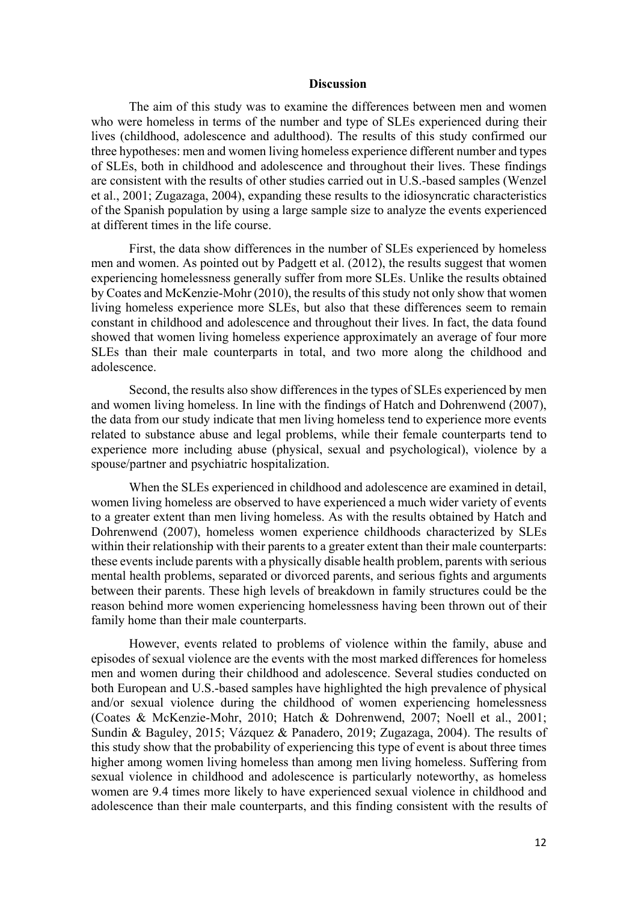### **Discussion**

The aim of this study was to examine the differences between men and women who were homeless in terms of the number and type of SLEs experienced during their lives (childhood, adolescence and adulthood). The results of this study confirmed our three hypotheses: men and women living homeless experience different number and types of SLEs, both in childhood and adolescence and throughout their lives. These findings are consistent with the results of other studies carried out in U.S.-based samples (Wenzel et al., 2001; Zugazaga, 2004), expanding these results to the idiosyncratic characteristics of the Spanish population by using a large sample size to analyze the events experienced at different times in the life course.

First, the data show differences in the number of SLEs experienced by homeless men and women. As pointed out by Padgett et al. (2012), the results suggest that women experiencing homelessness generally suffer from more SLEs. Unlike the results obtained by Coates and McKenzie-Mohr (2010), the results of this study not only show that women living homeless experience more SLEs, but also that these differences seem to remain constant in childhood and adolescence and throughout their lives. In fact, the data found showed that women living homeless experience approximately an average of four more SLEs than their male counterparts in total, and two more along the childhood and adolescence.

Second, the results also show differences in the types of SLEs experienced by men and women living homeless. In line with the findings of Hatch and Dohrenwend (2007), the data from our study indicate that men living homeless tend to experience more events related to substance abuse and legal problems, while their female counterparts tend to experience more including abuse (physical, sexual and psychological), violence by a spouse/partner and psychiatric hospitalization.

When the SLEs experienced in childhood and adolescence are examined in detail, women living homeless are observed to have experienced a much wider variety of events to a greater extent than men living homeless. As with the results obtained by Hatch and Dohrenwend (2007), homeless women experience childhoods characterized by SLEs within their relationship with their parents to a greater extent than their male counterparts: these events include parents with a physically disable health problem, parents with serious mental health problems, separated or divorced parents, and serious fights and arguments between their parents. These high levels of breakdown in family structures could be the reason behind more women experiencing homelessness having been thrown out of their family home than their male counterparts.

However, events related to problems of violence within the family, abuse and episodes of sexual violence are the events with the most marked differences for homeless men and women during their childhood and adolescence. Several studies conducted on both European and U.S.-based samples have highlighted the high prevalence of physical and/or sexual violence during the childhood of women experiencing homelessness (Coates & McKenzie-Mohr, 2010; Hatch & Dohrenwend, 2007; Noell et al., 2001; Sundin & Baguley, 2015; Vázquez & Panadero, 2019; Zugazaga, 2004). The results of this study show that the probability of experiencing this type of event is about three times higher among women living homeless than among men living homeless. Suffering from sexual violence in childhood and adolescence is particularly noteworthy, as homeless women are 9.4 times more likely to have experienced sexual violence in childhood and adolescence than their male counterparts, and this finding consistent with the results of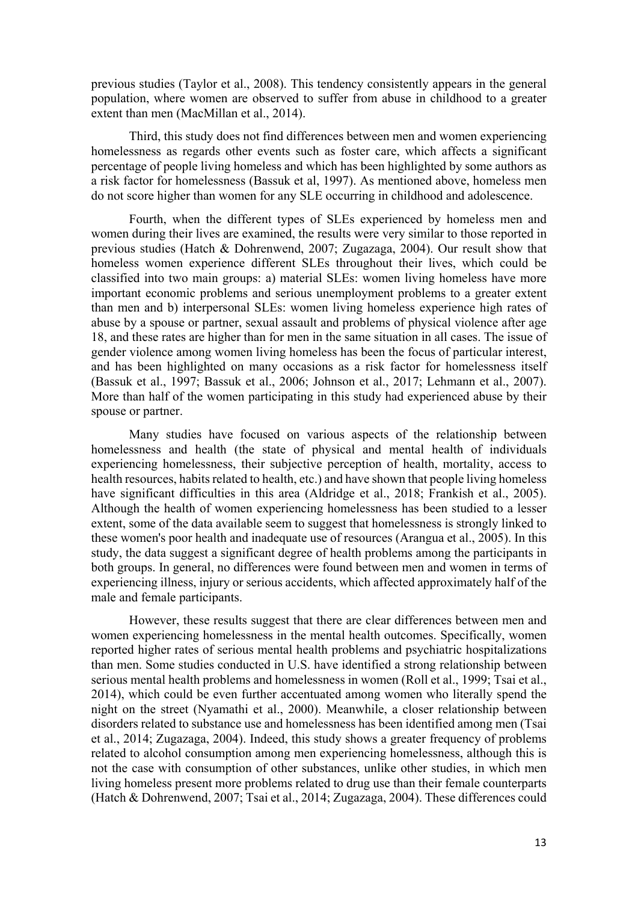previous studies (Taylor et al., 2008). This tendency consistently appears in the general population, where women are observed to suffer from abuse in childhood to a greater extent than men (MacMillan et al., 2014).

Third, this study does not find differences between men and women experiencing homelessness as regards other events such as foster care, which affects a significant percentage of people living homeless and which has been highlighted by some authors as a risk factor for homelessness (Bassuk et al, 1997). As mentioned above, homeless men do not score higher than women for any SLE occurring in childhood and adolescence.

Fourth, when the different types of SLEs experienced by homeless men and women during their lives are examined, the results were very similar to those reported in previous studies (Hatch & Dohrenwend, 2007; Zugazaga, 2004). Our result show that homeless women experience different SLEs throughout their lives, which could be classified into two main groups: a) material SLEs: women living homeless have more important economic problems and serious unemployment problems to a greater extent than men and b) interpersonal SLEs: women living homeless experience high rates of abuse by a spouse or partner, sexual assault and problems of physical violence after age 18, and these rates are higher than for men in the same situation in all cases. The issue of gender violence among women living homeless has been the focus of particular interest, and has been highlighted on many occasions as a risk factor for homelessness itself (Bassuk et al., 1997; Bassuk et al., 2006; Johnson et al., 2017; Lehmann et al., 2007). More than half of the women participating in this study had experienced abuse by their spouse or partner.

Many studies have focused on various aspects of the relationship between homelessness and health (the state of physical and mental health of individuals experiencing homelessness, their subjective perception of health, mortality, access to health resources, habits related to health, etc.) and have shown that people living homeless have significant difficulties in this area (Aldridge et al., 2018; Frankish et al., 2005). Although the health of women experiencing homelessness has been studied to a lesser extent, some of the data available seem to suggest that homelessness is strongly linked to these women's poor health and inadequate use of resources (Arangua et al., 2005). In this study, the data suggest a significant degree of health problems among the participants in both groups. In general, no differences were found between men and women in terms of experiencing illness, injury or serious accidents, which affected approximately half of the male and female participants.

However, these results suggest that there are clear differences between men and women experiencing homelessness in the mental health outcomes. Specifically, women reported higher rates of serious mental health problems and psychiatric hospitalizations than men. Some studies conducted in U.S. have identified a strong relationship between serious mental health problems and homelessness in women (Roll et al., 1999; Tsai et al., 2014), which could be even further accentuated among women who literally spend the night on the street (Nyamathi et al., 2000). Meanwhile, a closer relationship between disorders related to substance use and homelessness has been identified among men (Tsai et al., 2014; Zugazaga, 2004). Indeed, this study shows a greater frequency of problems related to alcohol consumption among men experiencing homelessness, although this is not the case with consumption of other substances, unlike other studies, in which men living homeless present more problems related to drug use than their female counterparts (Hatch & Dohrenwend, 2007; Tsai et al., 2014; Zugazaga, 2004). These differences could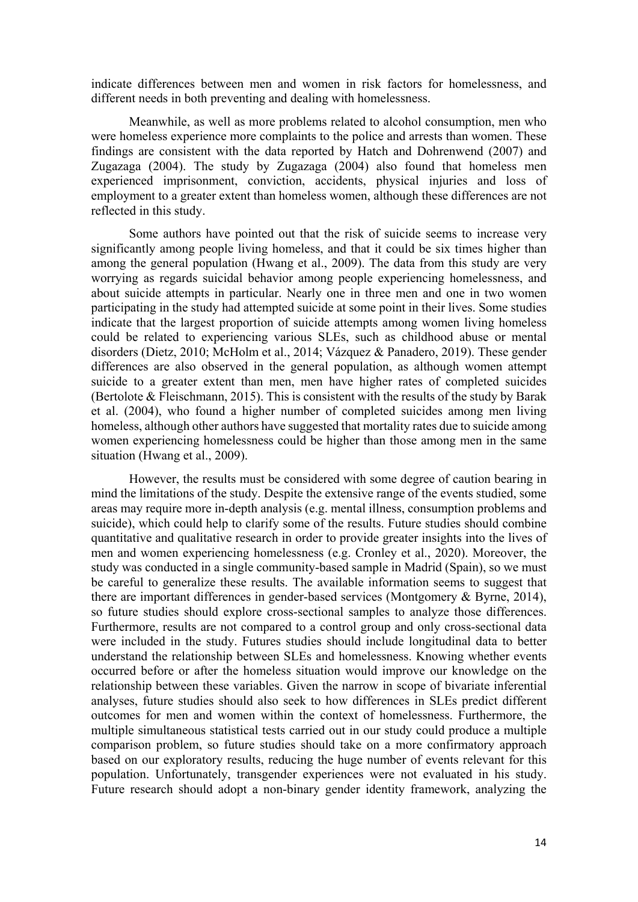indicate differences between men and women in risk factors for homelessness, and different needs in both preventing and dealing with homelessness.

Meanwhile, as well as more problems related to alcohol consumption, men who were homeless experience more complaints to the police and arrests than women. These findings are consistent with the data reported by Hatch and Dohrenwend (2007) and Zugazaga (2004). The study by Zugazaga (2004) also found that homeless men experienced imprisonment, conviction, accidents, physical injuries and loss of employment to a greater extent than homeless women, although these differences are not reflected in this study.

Some authors have pointed out that the risk of suicide seems to increase very significantly among people living homeless, and that it could be six times higher than among the general population (Hwang et al., 2009). The data from this study are very worrying as regards suicidal behavior among people experiencing homelessness, and about suicide attempts in particular. Nearly one in three men and one in two women participating in the study had attempted suicide at some point in their lives. Some studies indicate that the largest proportion of suicide attempts among women living homeless could be related to experiencing various SLEs, such as childhood abuse or mental disorders (Dietz, 2010; McHolm et al., 2014; Vázquez & Panadero, 2019). These gender differences are also observed in the general population, as although women attempt suicide to a greater extent than men, men have higher rates of completed suicides (Bertolote  $&$  Fleischmann, 2015). This is consistent with the results of the study by Barak et al. (2004), who found a higher number of completed suicides among men living homeless, although other authors have suggested that mortality rates due to suicide among women experiencing homelessness could be higher than those among men in the same situation (Hwang et al., 2009).

However, the results must be considered with some degree of caution bearing in mind the limitations of the study. Despite the extensive range of the events studied, some areas may require more in-depth analysis (e.g. mental illness, consumption problems and suicide), which could help to clarify some of the results. Future studies should combine quantitative and qualitative research in order to provide greater insights into the lives of men and women experiencing homelessness (e.g. Cronley et al., 2020). Moreover, the study was conducted in a single community-based sample in Madrid (Spain), so we must be careful to generalize these results. The available information seems to suggest that there are important differences in gender-based services (Montgomery & Byrne, 2014), so future studies should explore cross-sectional samples to analyze those differences. Furthermore, results are not compared to a control group and only cross-sectional data were included in the study. Futures studies should include longitudinal data to better understand the relationship between SLEs and homelessness. Knowing whether events occurred before or after the homeless situation would improve our knowledge on the relationship between these variables. Given the narrow in scope of bivariate inferential analyses, future studies should also seek to how differences in SLEs predict different outcomes for men and women within the context of homelessness. Furthermore, the multiple simultaneous statistical tests carried out in our study could produce a multiple comparison problem, so future studies should take on a more confirmatory approach based on our exploratory results, reducing the huge number of events relevant for this population. Unfortunately, transgender experiences were not evaluated in his study. Future research should adopt a non-binary gender identity framework, analyzing the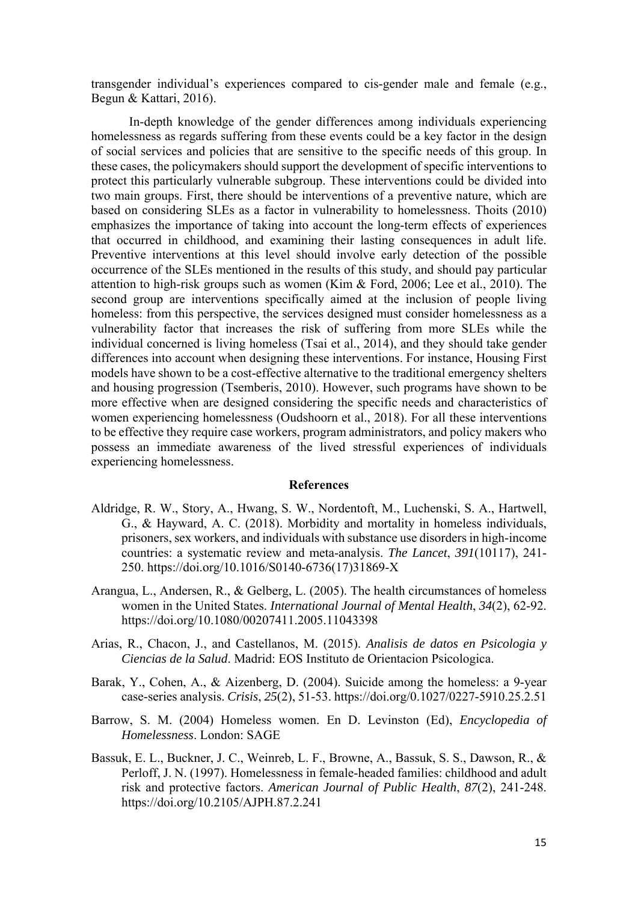transgender individual's experiences compared to cis-gender male and female (e.g., Begun & Kattari, 2016).

In-depth knowledge of the gender differences among individuals experiencing homelessness as regards suffering from these events could be a key factor in the design of social services and policies that are sensitive to the specific needs of this group. In these cases, the policymakers should support the development of specific interventions to protect this particularly vulnerable subgroup. These interventions could be divided into two main groups. First, there should be interventions of a preventive nature, which are based on considering SLEs as a factor in vulnerability to homelessness. Thoits (2010) emphasizes the importance of taking into account the long-term effects of experiences that occurred in childhood, and examining their lasting consequences in adult life. Preventive interventions at this level should involve early detection of the possible occurrence of the SLEs mentioned in the results of this study, and should pay particular attention to high-risk groups such as women (Kim & Ford, 2006; Lee et al., 2010). The second group are interventions specifically aimed at the inclusion of people living homeless: from this perspective, the services designed must consider homelessness as a vulnerability factor that increases the risk of suffering from more SLEs while the individual concerned is living homeless (Tsai et al., 2014), and they should take gender differences into account when designing these interventions. For instance, Housing First models have shown to be a cost-effective alternative to the traditional emergency shelters and housing progression (Tsemberis, 2010). However, such programs have shown to be more effective when are designed considering the specific needs and characteristics of women experiencing homelessness (Oudshoorn et al., 2018). For all these interventions to be effective they require case workers, program administrators, and policy makers who possess an immediate awareness of the lived stressful experiences of individuals experiencing homelessness.

### **References**

- Aldridge, R. W., Story, A., Hwang, S. W., Nordentoft, M., Luchenski, S. A., Hartwell, G., & Hayward, A. C. (2018). Morbidity and mortality in homeless individuals, prisoners, sex workers, and individuals with substance use disorders in high-income countries: a systematic review and meta-analysis. *The Lancet*, *391*(10117), 241- 250. https://doi.org/10.1016/S0140-6736(17)31869-X
- Arangua, L., Andersen, R., & Gelberg, L. (2005). The health circumstances of homeless women in the United States. *International Journal of Mental Health*, *34*(2), 62-92. https://doi.org/10.1080/00207411.2005.11043398
- Arias, R., Chacon, J., and Castellanos, M. (2015). *Analisis de datos en Psicologia y Ciencias de la Salud*. Madrid: EOS Instituto de Orientacion Psicologica.
- Barak, Y., Cohen, A., & Aizenberg, D. (2004). Suicide among the homeless: a 9-year case-series analysis. *Crisis*, *25*(2), 51-53. https://doi.org/0.1027/0227-5910.25.2.51
- Barrow, S. M. (2004) Homeless women. En D. Levinston (Ed), *Encyclopedia of Homelessness*. London: SAGE
- Bassuk, E. L., Buckner, J. C., Weinreb, L. F., Browne, A., Bassuk, S. S., Dawson, R., & Perloff, J. N. (1997). Homelessness in female-headed families: childhood and adult risk and protective factors. *American Journal of Public Health*, *87*(2), 241-248. https://doi.org/10.2105/AJPH.87.2.241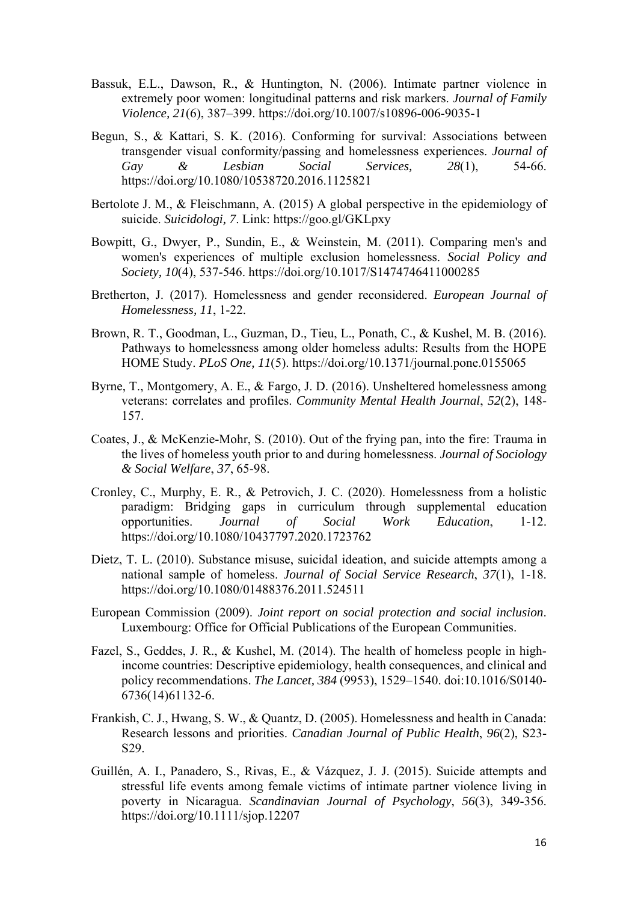- Bassuk, E.L., Dawson, R., & Huntington, N. (2006). Intimate partner violence in extremely poor women: longitudinal patterns and risk markers. *Journal of Family Violence, 21*(6), 387–399. https://doi.org/10.1007/s10896-006-9035-1
- Begun, S., & Kattari, S. K. (2016). Conforming for survival: Associations between transgender visual conformity/passing and homelessness experiences. *Journal of Gay & Lesbian Social Services, 28*(1), 54-66. https://doi.org/10.1080/10538720.2016.1125821
- Bertolote J. M., & Fleischmann, A. (2015) A global perspective in the epidemiology of suicide. *Suicidologi, 7*. Link: https://goo.gl/GKLpxy
- Bowpitt, G., Dwyer, P., Sundin, E., & Weinstein, M. (2011). Comparing men's and women's experiences of multiple exclusion homelessness. *Social Policy and Society, 10*(4), 537-546. https://doi.org/10.1017/S1474746411000285
- Bretherton, J. (2017). Homelessness and gender reconsidered. *European Journal of Homelessness, 11*, 1-22.
- Brown, R. T., Goodman, L., Guzman, D., Tieu, L., Ponath, C., & Kushel, M. B. (2016). Pathways to homelessness among older homeless adults: Results from the HOPE HOME Study. *PLoS One, 11*(5). https://doi.org/10.1371/journal.pone.0155065
- Byrne, T., Montgomery, A. E., & Fargo, J. D. (2016). Unsheltered homelessness among veterans: correlates and profiles. *Community Mental Health Journal*, *52*(2), 148- 157.
- Coates, J., & McKenzie-Mohr, S. (2010). Out of the frying pan, into the fire: Trauma in the lives of homeless youth prior to and during homelessness. *Journal of Sociology & Social Welfare*, *37*, 65-98.
- Cronley, C., Murphy, E. R., & Petrovich, J. C. (2020). Homelessness from a holistic paradigm: Bridging gaps in curriculum through supplemental education opportunities. *Journal of Social Work Education*, 1-12. https://doi.org/10.1080/10437797.2020.1723762
- Dietz, T. L. (2010). Substance misuse, suicidal ideation, and suicide attempts among a national sample of homeless. *Journal of Social Service Research*, *37*(1), 1-18. https://doi.org/10.1080/01488376.2011.524511
- European Commission (2009). *Joint report on social protection and social inclusion*. Luxembourg: Office for Official Publications of the European Communities.
- Fazel, S., Geddes, J. R., & Kushel, M. (2014). The health of homeless people in highincome countries: Descriptive epidemiology, health consequences, and clinical and policy recommendations. *The Lancet, 384* (9953), 1529–1540. doi:10.1016/S0140- 6736(14)61132-6.
- Frankish, C. J., Hwang, S. W., & Quantz, D. (2005). Homelessness and health in Canada: Research lessons and priorities. *Canadian Journal of Public Health*, *96*(2), S23- S29.
- Guillén, A. I., Panadero, S., Rivas, E., & Vázquez, J. J. (2015). Suicide attempts and stressful life events among female victims of intimate partner violence living in poverty in Nicaragua. *Scandinavian Journal of Psychology*, *56*(3), 349-356. https://doi.org/10.1111/sjop.12207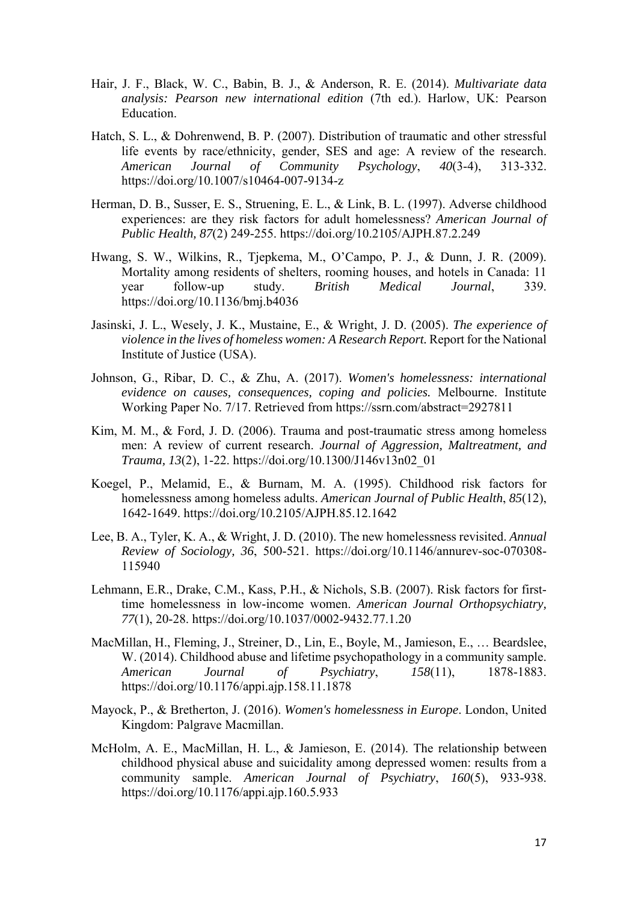- Hair, J. F., Black, W. C., Babin, B. J., & Anderson, R. E. (2014). *Multivariate data analysis: Pearson new international edition* (7th ed.). Harlow, UK: Pearson Education.
- Hatch, S. L., & Dohrenwend, B. P. (2007). Distribution of traumatic and other stressful life events by race/ethnicity, gender, SES and age: A review of the research. *American Journal of Community Psychology*, *40*(3-4), 313-332. https://doi.org/10.1007/s10464-007-9134-z
- Herman, D. B., Susser, E. S., Struening, E. L., & Link, B. L. (1997). Adverse childhood experiences: are they risk factors for adult homelessness? *American Journal of Public Health, 87*(2) 249-255. https://doi.org/10.2105/AJPH.87.2.249
- Hwang, S. W., Wilkins, R., Tjepkema, M., O'Campo, P. J., & Dunn, J. R. (2009). Mortality among residents of shelters, rooming houses, and hotels in Canada: 11 year follow-up study. *British Medical Journal*, 339. https://doi.org/10.1136/bmj.b4036
- Jasinski, J. L., Wesely, J. K., Mustaine, E., & Wright, J. D. (2005). *The experience of violence in the lives of homeless women: A Research Report.* Report for the National Institute of Justice (USA).
- Johnson, G., Ribar, D. C., & Zhu, A. (2017). *Women's homelessness: international evidence on causes, consequences, coping and policies.* Melbourne. Institute Working Paper No. 7/17. Retrieved from https://ssrn.com/abstract=2927811
- Kim, M. M., & Ford, J. D. (2006). Trauma and post-traumatic stress among homeless men: A review of current research. *Journal of Aggression, Maltreatment, and Trauma, 13*(2), 1-22. https://doi.org/10.1300/J146v13n02\_01
- Koegel, P., Melamid, E., & Burnam, M. A. (1995). Childhood risk factors for homelessness among homeless adults. *American Journal of Public Health*, *85*(12), 1642-1649. https://doi.org/10.2105/AJPH.85.12.1642
- Lee, B. A., Tyler, K. A., & Wright, J. D. (2010). The new homelessness revisited. *Annual Review of Sociology, 36*, 500-521. https://doi.org/10.1146/annurev-soc-070308- 115940
- Lehmann, E.R., Drake, C.M., Kass, P.H., & Nichols, S.B. (2007). Risk factors for firsttime homelessness in low-income women. *American Journal Orthopsychiatry, 77*(1), 20-28. https://doi.org/10.1037/0002-9432.77.1.20
- MacMillan, H., Fleming, J., Streiner, D., Lin, E., Boyle, M., Jamieson, E., … Beardslee, W. (2014). Childhood abuse and lifetime psychopathology in a community sample. *American Journal of Psychiatry*, *158*(11), 1878-1883. https://doi.org/10.1176/appi.ajp.158.11.1878
- Mayock, P., & Bretherton, J. (2016). *Women's homelessness in Europe*. London, United Kingdom: Palgrave Macmillan.
- McHolm, A. E., MacMillan, H. L., & Jamieson, E. (2014). The relationship between childhood physical abuse and suicidality among depressed women: results from a community sample. *American Journal of Psychiatry*, *160*(5), 933-938. https://doi.org/10.1176/appi.ajp.160.5.933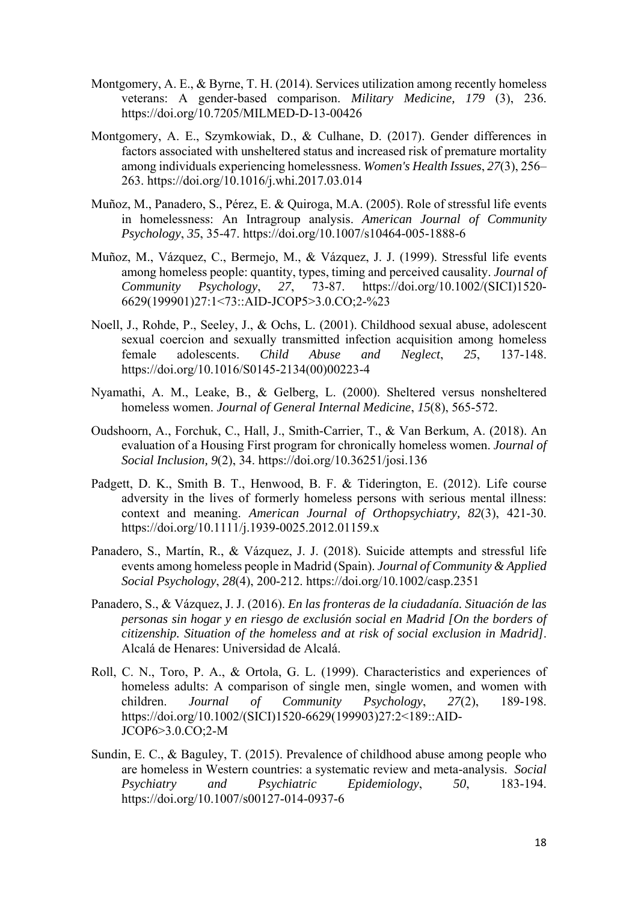- Montgomery, A. E., & Byrne, T. H. (2014). Services utilization among recently homeless veterans: A gender-based comparison. *Military Medicine, 179* (3), 236. https://doi.org/10.7205/MILMED-D-13-00426
- Montgomery, A. E., Szymkowiak, D., & Culhane, D. (2017). Gender differences in factors associated with unsheltered status and increased risk of premature mortality among individuals experiencing homelessness. *Women's Health Issues*, *27*(3), 256– 263. https://doi.org/10.1016/j.whi.2017.03.014
- Muñoz, M., Panadero, S., Pérez, E. & Quiroga, M.A. (2005). Role of stressful life events in homelessness: An Intragroup analysis. *American Journal of Community Psychology*, *35*, 35-47. https://doi.org/10.1007/s10464-005-1888-6
- Muñoz, M., Vázquez, C., Bermejo, M., & Vázquez, J. J. (1999). Stressful life events among homeless people: quantity, types, timing and perceived causality. *Journal of Community Psychology*, *27*, 73-87. https://doi.org/10.1002/(SICI)1520- 6629(199901)27:1<73::AID-JCOP5>3.0.CO;2-%23
- Noell, J., Rohde, P., Seeley, J., & Ochs, L. (2001). Childhood sexual abuse, adolescent sexual coercion and sexually transmitted infection acquisition among homeless female adolescents. *Child Abuse and Neglect*, *25*, 137-148. https://doi.org/10.1016/S0145-2134(00)00223-4
- Nyamathi, A. M., Leake, B., & Gelberg, L. (2000). Sheltered versus nonsheltered homeless women. *Journal of General Internal Medicine*, *15*(8), 565-572.
- Oudshoorn, A., Forchuk, C., Hall, J., Smith-Carrier, T., & Van Berkum, A. (2018). An evaluation of a Housing First program for chronically homeless women. *Journal of Social Inclusion, 9*(2), 34. https://doi.org/10.36251/josi.136
- Padgett, D. K., Smith B. T., Henwood, B. F. & Tiderington, E. (2012). Life course adversity in the lives of formerly homeless persons with serious mental illness: context and meaning. *American Journal of Orthopsychiatry, 82*(3), 421-30. https://doi.org/10.1111/j.1939-0025.2012.01159.x
- Panadero, S., Martín, R., & Vázquez, J. J. (2018). Suicide attempts and stressful life events among homeless people in Madrid (Spain). *Journal of Community & Applied Social Psychology*, *28*(4), 200-212. https://doi.org/10.1002/casp.2351
- Panadero, S., & Vázquez, J. J. (2016). *En las fronteras de la ciudadanía. Situación de las personas sin hogar y en riesgo de exclusión social en Madrid [On the borders of citizenship. Situation of the homeless and at risk of social exclusion in Madrid]*. Alcalá de Henares: Universidad de Alcalá.
- Roll, C. N., Toro, P. A., & Ortola, G. L. (1999). Characteristics and experiences of homeless adults: A comparison of single men, single women, and women with children. *Journal of Community Psychology*, *27*(2), 189-198. https://doi.org/10.1002/(SICI)1520-6629(199903)27:2<189::AID-JCOP6>3.0.CO;2-M
- Sundin, E. C., & Baguley, T. (2015). Prevalence of childhood abuse among people who are homeless in Western countries: a systematic review and meta-analysis. *Social Psychiatry and Psychiatric Epidemiology*, *50*, 183-194. https://doi.org/10.1007/s00127-014-0937-6